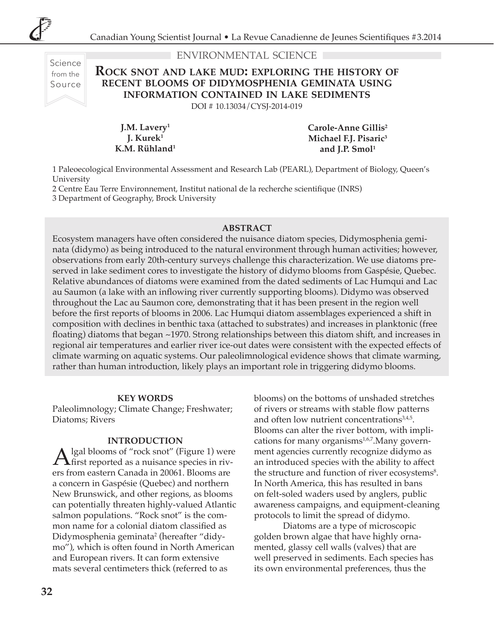Science from the Source

### environmental science

# **Rock snot and lake mud: exploring the history of recent blooms of didymosphenia geminata using information contained in lake sediments**

DOI # 10.13034/CYSJ-2014-019

**J.M. Lavery1 J. Kurek1 K.M. Rühland1** **Carole-Anne Gillis2 Michael F.J. Pisaric3** and J.P. Smol<sup>1</sup>

1 Paleoecological Environmental Assessment and Research Lab (PEARL), Department of Biology, Queen's University

2 Centre Eau Terre Environnement, Institut national de la recherche scientifique (INRS)

3 Department of Geography, Brock University

#### **ABSTRACT**

Ecosystem managers have often considered the nuisance diatom species, Didymosphenia geminata (didymo) as being introduced to the natural environment through human activities; however, observations from early 20th-century surveys challenge this characterization. We use diatoms preserved in lake sediment cores to investigate the history of didymo blooms from Gaspésie, Quebec. Relative abundances of diatoms were examined from the dated sediments of Lac Humqui and Lac au Saumon (a lake with an inflowing river currently supporting blooms). Didymo was observed throughout the Lac au Saumon core, demonstrating that it has been present in the region well before the first reports of blooms in 2006. Lac Humqui diatom assemblages experienced a shift in composition with declines in benthic taxa (attached to substrates) and increases in planktonic (free floating) diatoms that began ~1970. Strong relationships between this diatom shift, and increases in regional air temperatures and earlier river ice-out dates were consistent with the expected effects of climate warming on aquatic systems. Our paleolimnological evidence shows that climate warming, rather than human introduction, likely plays an important role in triggering didymo blooms.

#### **KEY WORDS**

Paleolimnology; Climate Change; Freshwater; Diatoms; Rivers

#### **INTRODUCTION**

 $\mathbf{A}$  lgal blooms of "rock snot" (Figure 1) were<br>first reported as a nuisance species in rivers from eastern Canada in 20061. Blooms are a concern in Gaspésie (Quebec) and northern New Brunswick, and other regions, as blooms can potentially threaten highly-valued Atlantic salmon populations. "Rock snot" is the common name for a colonial diatom classified as Didymosphenia geminata<sup>2</sup> (hereafter "didymo"), which is often found in North American and European rivers. It can form extensive mats several centimeters thick (referred to as

blooms) on the bottoms of unshaded stretches of rivers or streams with stable flow patterns and often low nutrient concentrations $3,4,5$ . Blooms can alter the river bottom, with implications for many organisms<sup>1,6,7</sup>. Many government agencies currently recognize didymo as an introduced species with the ability to affect the structure and function of river ecosystems<sup>8</sup>. In North America, this has resulted in bans on felt-soled waders used by anglers, public awareness campaigns, and equipment-cleaning protocols to limit the spread of didymo.

Diatoms are a type of microscopic golden brown algae that have highly ornamented, glassy cell walls (valves) that are well preserved in sediments. Each species has its own environmental preferences, thus the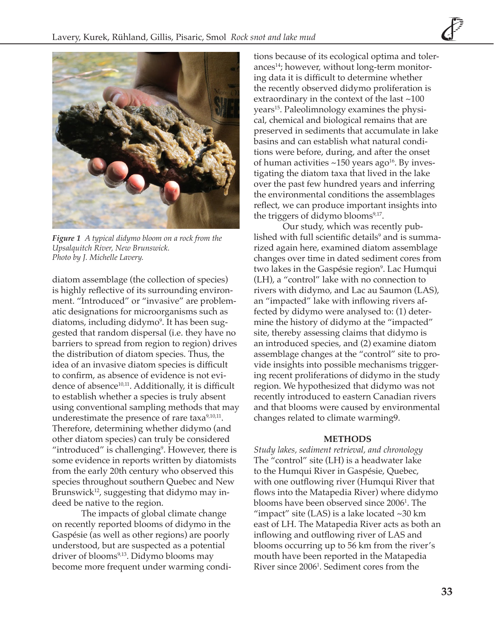

*Figure 1 A typical didymo bloom on a rock from the Upsalquitch River, New Brunswick. Photo by J. Michelle Lavery.*

diatom assemblage (the collection of species) is highly reflective of its surrounding environment. "Introduced" or "invasive" are problematic designations for microorganisms such as diatoms, including didymo<sup>9</sup>. It has been suggested that random dispersal (i.e. they have no barriers to spread from region to region) drives the distribution of diatom species. Thus, the idea of an invasive diatom species is difficult to confirm, as absence of evidence is not evidence of absence<sup>10,11</sup>. Additionally, it is difficult to establish whether a species is truly absent using conventional sampling methods that may underestimate the presence of rare taxa $9,10,11$ . Therefore, determining whether didymo (and other diatom species) can truly be considered "introduced" is challenging $9$ . However, there is some evidence in reports written by diatomists from the early 20th century who observed this species throughout southern Quebec and New Brunswick $12$ , suggesting that didymo may indeed be native to the region.

The impacts of global climate change on recently reported blooms of didymo in the Gaspésie (as well as other regions) are poorly understood, but are suspected as a potential driver of blooms<sup>9,13</sup>. Didymo blooms may become more frequent under warming conditions because of its ecological optima and tolerances14; however, without long-term monitoring data it is difficult to determine whether the recently observed didymo proliferation is extraordinary in the context of the last ~100 years<sup>15</sup>. Paleolimnology examines the physical, chemical and biological remains that are preserved in sediments that accumulate in lake basins and can establish what natural conditions were before, during, and after the onset of human activities  $\sim$ 150 years ago<sup>16</sup>. By investigating the diatom taxa that lived in the lake over the past few hundred years and inferring the environmental conditions the assemblages reflect, we can produce important insights into the triggers of didymo blooms $9,17$ .

Our study, which was recently published with full scientific details<sup>9</sup> and is summarized again here, examined diatom assemblage changes over time in dated sediment cores from two lakes in the Gaspésie region°. Lac Humqui (LH), a "control" lake with no connection to rivers with didymo, and Lac au Saumon (LAS), an "impacted" lake with inflowing rivers affected by didymo were analysed to: (1) determine the history of didymo at the "impacted" site, thereby assessing claims that didymo is an introduced species, and (2) examine diatom assemblage changes at the "control" site to provide insights into possible mechanisms triggering recent proliferations of didymo in the study region. We hypothesized that didymo was not recently introduced to eastern Canadian rivers and that blooms were caused by environmental changes related to climate warming9.

#### **METHODS**

*Study lakes, sediment retrieval, and chronology* The "control" site (LH) is a headwater lake to the Humqui River in Gaspésie, Quebec, with one outflowing river (Humqui River that flows into the Matapedia River) where didymo blooms have been observed since 2006<sup>1</sup> . The "impact" site (LAS) is a lake located  $\sim$ 30 km east of LH. The Matapedia River acts as both an inflowing and outflowing river of LAS and blooms occurring up to 56 km from the river's mouth have been reported in the Matapedia River since 2006<sup>1</sup> . Sediment cores from the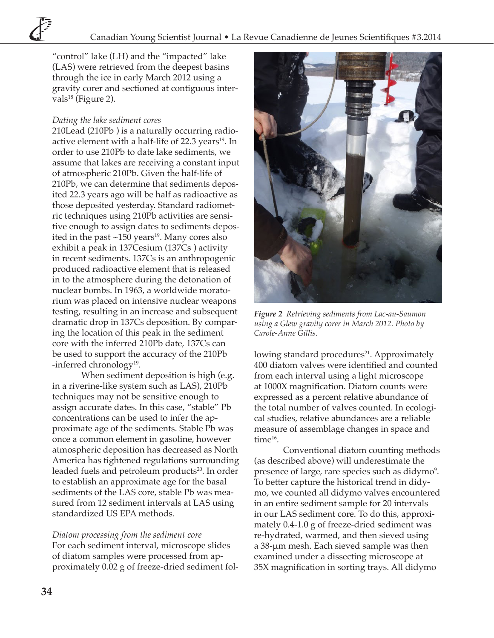"control" lake (LH) and the "impacted" lake (LAS) were retrieved from the deepest basins through the ice in early March 2012 using a gravity corer and sectioned at contiguous intervals<sup>18</sup> (Figure 2).

# *Dating the lake sediment cores*

210Lead (210Pb ) is a naturally occurring radioactive element with a half-life of 22.3 years<sup>19</sup>. In order to use 210Pb to date lake sediments, we assume that lakes are receiving a constant input of atmospheric 210Pb. Given the half-life of 210Pb, we can determine that sediments deposited 22.3 years ago will be half as radioactive as those deposited yesterday. Standard radiometric techniques using 210Pb activities are sensitive enough to assign dates to sediments deposited in the past  $\sim$ 150 years<sup>19</sup>. Many cores also exhibit a peak in 137Cesium (137Cs ) activity in recent sediments. 137Cs is an anthropogenic produced radioactive element that is released in to the atmosphere during the detonation of nuclear bombs. In 1963, a worldwide moratorium was placed on intensive nuclear weapons testing, resulting in an increase and subsequent dramatic drop in 137Cs deposition. By comparing the location of this peak in the sediment core with the inferred 210Pb date, 137Cs can be used to support the accuracy of the 210Pb -inferred chronology<sup>19</sup>.

When sediment deposition is high (e.g. in a riverine-like system such as LAS), 210Pb techniques may not be sensitive enough to assign accurate dates. In this case, "stable" Pb concentrations can be used to infer the approximate age of the sediments. Stable Pb was once a common element in gasoline, however atmospheric deposition has decreased as North America has tightened regulations surrounding leaded fuels and petroleum products<sup>20</sup>. In order to establish an approximate age for the basal sediments of the LAS core, stable Pb was measured from 12 sediment intervals at LAS using standardized US EPA methods.

*Diatom processing from the sediment core* For each sediment interval, microscope slides of diatom samples were processed from approximately 0.02 g of freeze-dried sediment fol-



*Figure 2 Retrieving sediments from Lac-au-Saumon using a Glew gravity corer in March 2012. Photo by Carole-Anne Gillis*.

lowing standard procedures<sup>21</sup>. Approximately 400 diatom valves were identified and counted from each interval using a light microscope at 1000X magnification. Diatom counts were expressed as a percent relative abundance of the total number of valves counted. In ecological studies, relative abundances are a reliable measure of assemblage changes in space and time<sup>16</sup>.

Conventional diatom counting methods (as described above) will underestimate the presence of large, rare species such as didymo $9$ . To better capture the historical trend in didymo, we counted all didymo valves encountered in an entire sediment sample for 20 intervals in our LAS sediment core. To do this, approximately 0.4-1.0 g of freeze-dried sediment was re-hydrated, warmed, and then sieved using a 38-μm mesh. Each sieved sample was then examined under a dissecting microscope at 35X magnification in sorting trays. All didymo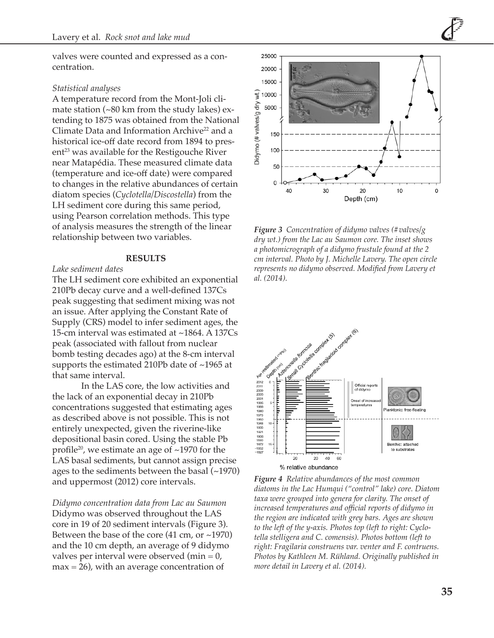valves were counted and expressed as a concentration.

#### *Statistical analyses*

A temperature record from the Mont-Joli climate station (~80 km from the study lakes) extending to 1875 was obtained from the National Climate Data and Information Archive<sup>22</sup> and a historical ice-off date record from 1894 to pres $ent^{23}$  was available for the Restigouche River near Matapédia. These measured climate data (temperature and ice-off date) were compared to changes in the relative abundances of certain diatom species (*Cyclotella/Discostella*) from the LH sediment core during this same period, using Pearson correlation methods. This type of analysis measures the strength of the linear relationship between two variables.

#### **RESULTS**

#### *Lake sediment dates*

The LH sediment core exhibited an exponential 210Pb decay curve and a well-defined 137Cs peak suggesting that sediment mixing was not an issue. After applying the Constant Rate of Supply (CRS) model to infer sediment ages, the 15-cm interval was estimated at ~1864. A 137Cs peak (associated with fallout from nuclear bomb testing decades ago) at the 8-cm interval supports the estimated 210Pb date of ~1965 at that same interval.

In the LAS core, the low activities and the lack of an exponential decay in 210Pb concentrations suggested that estimating ages as described above is not possible. This is not entirely unexpected, given the riverine-like depositional basin cored. Using the stable Pb profile<sup>20</sup>, we estimate an age of  $\sim$ 1970 for the LAS basal sediments, but cannot assign precise ages to the sediments between the basal (~1970) and uppermost (2012) core intervals.

*Didymo concentration data from Lac au Saumon* Didymo was observed throughout the LAS core in 19 of 20 sediment intervals (Figure 3). Between the base of the core (41 cm, or ~1970) and the 10 cm depth, an average of 9 didymo valves per interval were observed (min  $= 0$ ,  $max = 26$ , with an average concentration of



*Figure 3 Concentration of didymo valves (#valves/g dry wt.) from the Lac au Saumon core. The inset shows a photomicrograph of a didymo frustule found at the 2 cm interval. Photo by J. Michelle Lavery. The open circle represents no didymo observed. Modified from Lavery et al. (2014).*



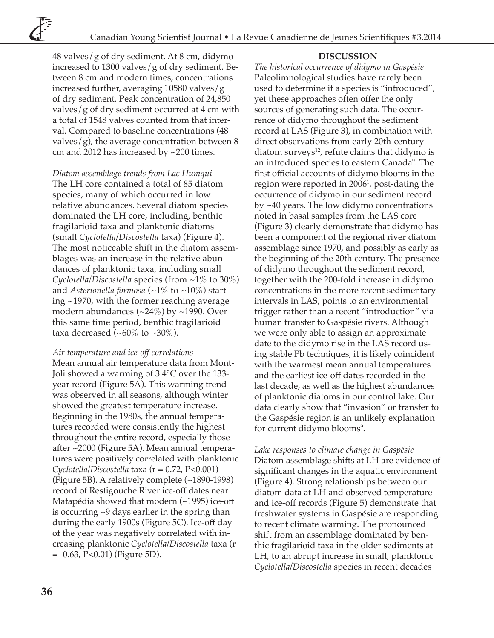### **DISCUSSION**

48 valves/g of dry sediment. At 8 cm, didymo increased to 1300 valves/g of dry sediment. Between 8 cm and modern times, concentrations increased further, averaging 10580 valves/g of dry sediment. Peak concentration of 24,850 valves/g of dry sediment occurred at 4 cm with a total of 1548 valves counted from that interval. Compared to baseline concentrations (48 valves/g), the average concentration between 8 cm and 2012 has increased by ~200 times.

*Diatom assemblage trends from Lac Humqui* The LH core contained a total of 85 diatom species, many of which occurred in low relative abundances. Several diatom species dominated the LH core, including, benthic fragilarioid taxa and planktonic diatoms (small *Cyclotella/Discostella* taxa) (Figure 4). The most noticeable shift in the diatom assemblages was an increase in the relative abundances of planktonic taxa, including small *Cyclotella/Discostella* species (from ~1% to 30%) and *Asterionella formosa* (~1% to ~10%) starting ~1970, with the former reaching average modern abundances (~24%) by ~1990. Over this same time period, benthic fragilarioid taxa decreased  $(-60\% \text{ to } -30\%).$ 

#### *Air temperature and ice-off correlations*

Mean annual air temperature data from Mont-Joli showed a warming of 3.4°C over the 133 year record (Figure 5A). This warming trend was observed in all seasons, although winter showed the greatest temperature increase. Beginning in the 1980s, the annual temperatures recorded were consistently the highest throughout the entire record, especially those after ~2000 (Figure 5A). Mean annual temperatures were positively correlated with planktonic *Cyclotella/Discostella* taxa (r = 0.72, P<0.001) (Figure 5B). A relatively complete (~1890-1998) record of Restigouche River ice-off dates near Matapédia showed that modern (~1995) ice-off is occurring ~9 days earlier in the spring than during the early 1900s (Figure 5C). Ice-off day of the year was negatively correlated with increasing planktonic *Cyclotella/Discostella* taxa (r = -0.63, P<0.01) (Figure 5D).

*The historical occurrence of didymo in Gaspésie* Paleolimnological studies have rarely been used to determine if a species is "introduced", yet these approaches often offer the only sources of generating such data. The occurrence of didymo throughout the sediment record at LAS (Figure 3), in combination with direct observations from early 20th-century diatom surveys $^{12}$ , refute claims that didymo is an introduced species to eastern Canada<sup>9</sup>. The first official accounts of didymo blooms in the region were reported in 2006<sup>1</sup> , post-dating the occurrence of didymo in our sediment record by ~40 years. The low didymo concentrations noted in basal samples from the LAS core (Figure 3) clearly demonstrate that didymo has been a component of the regional river diatom assemblage since 1970, and possibly as early as the beginning of the 20th century. The presence of didymo throughout the sediment record, together with the 200-fold increase in didymo concentrations in the more recent sedimentary intervals in LAS, points to an environmental trigger rather than a recent "introduction" via human transfer to Gaspésie rivers. Although we were only able to assign an approximate date to the didymo rise in the LAS record using stable Pb techniques, it is likely coincident with the warmest mean annual temperatures and the earliest ice-off dates recorded in the last decade, as well as the highest abundances of planktonic diatoms in our control lake. Our data clearly show that "invasion" or transfer to the Gaspésie region is an unlikely explanation for current didymo blooms<sup>9</sup>.

*Lake responses to climate change in Gaspésie* Diatom assemblage shifts at LH are evidence of significant changes in the aquatic environment (Figure 4). Strong relationships between our diatom data at LH and observed temperature and ice-off records (Figure 5) demonstrate that freshwater systems in Gaspésie are responding to recent climate warming. The pronounced shift from an assemblage dominated by benthic fragilarioid taxa in the older sediments at LH, to an abrupt increase in small, planktonic *Cyclotella/Discostella* species in recent decades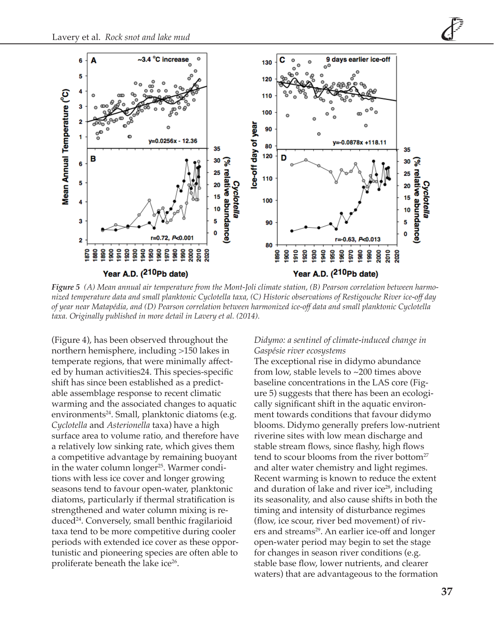

*Figure 5 (A) Mean annual air temperature from the Mont-Joli climate station, (B) Pearson correlation between harmonized temperature data and small planktonic Cyclotella taxa, (C) Historic observations of Restigouche River ice-off day of year near Matapédia, and (D) Pearson correlation between harmonized ice-off data and small planktonic Cyclotella taxa. Originally published in more detail in Lavery et al. (2014).*

(Figure 4), has been observed throughout the northern hemisphere, including >150 lakes in temperate regions, that were minimally affected by human activities24. This species-specific shift has since been established as a predictable assemblage response to recent climatic warming and the associated changes to aquatic environments<sup>24</sup>. Small, planktonic diatoms (e.g. *Cyclotella* and *Asterionella* taxa) have a high surface area to volume ratio, and therefore have a relatively low sinking rate, which gives them a competitive advantage by remaining buoyant in the water column longer<sup>25</sup>. Warmer conditions with less ice cover and longer growing seasons tend to favour open-water, planktonic diatoms, particularly if thermal stratification is strengthened and water column mixing is reduced24. Conversely, small benthic fragilarioid taxa tend to be more competitive during cooler periods with extended ice cover as these opportunistic and pioneering species are often able to proliferate beneath the lake ice<sup>26</sup>.

### *Didymo: a sentinel of climate-induced change in Gaspésie river ecosystems*

The exceptional rise in didymo abundance from low, stable levels to ~200 times above baseline concentrations in the LAS core (Figure 5) suggests that there has been an ecologically significant shift in the aquatic environment towards conditions that favour didymo blooms. Didymo generally prefers low-nutrient riverine sites with low mean discharge and stable stream flows, since flashy, high flows tend to scour blooms from the river bottom<sup>27</sup> and alter water chemistry and light regimes. Recent warming is known to reduce the extent and duration of lake and river ice $28$ , including its seasonality, and also cause shifts in both the timing and intensity of disturbance regimes (flow, ice scour, river bed movement) of rivers and streams<sup>29</sup>. An earlier ice-off and longer open-water period may begin to set the stage for changes in season river conditions (e.g. stable base flow, lower nutrients, and clearer waters) that are advantageous to the formation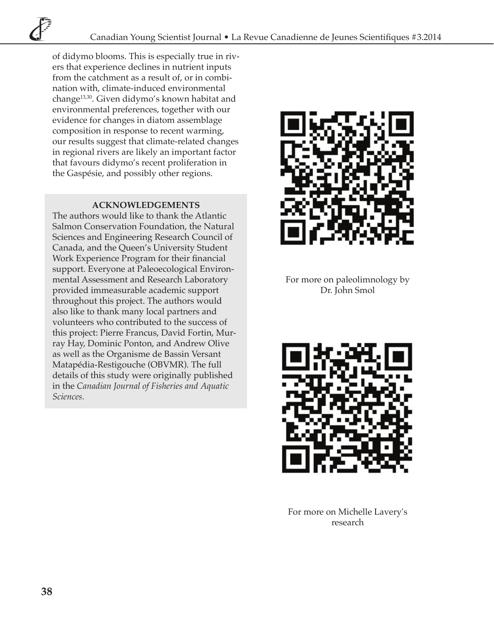of didymo blooms. This is especially true in rivers that experience declines in nutrient inputs from the catchment as a result of, or in combination with, climate-induced environmental change13,30. Given didymo's known habitat and environmental preferences, together with our evidence for changes in diatom assemblage composition in response to recent warming, our results suggest that climate-related changes in regional rivers are likely an important factor that favours didymo's recent proliferation in the Gaspésie, and possibly other regions.

## **ACKNOWLEDGEMENTS**

The authors would like to thank the Atlantic Salmon Conservation Foundation, the Natural Sciences and Engineering Research Council of Canada, and the Queen's University Student Work Experience Program for their financial support. Everyone at Paleoecological Environmental Assessment and Research Laboratory provided immeasurable academic support throughout this project. The authors would also like to thank many local partners and volunteers who contributed to the success of this project: Pierre Francus, David Fortin, Murray Hay, Dominic Ponton, and Andrew Olive as well as the Organisme de Bassin Versant Matapédia-Restigouche (OBVMR). The full details of this study were originally published in the *Canadian Journal of Fisheries and Aquatic Sciences.*



For more on paleolimnology by Dr. John Smol



For more on Michelle Lavery's research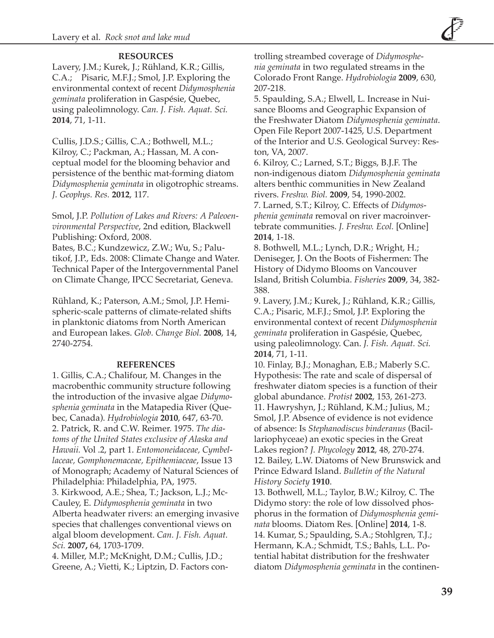# **RESOURCES**

Lavery, J.M.; Kurek, J.; Rühland, K.R.; Gillis, C.A.; Pisaric, M.F.J.; Smol, J.P. Exploring the environmental context of recent *Didymosphenia geminata* proliferation in Gaspésie, Quebec, using paleolimnology. *Can. J. Fish. Aquat. Sci.* **2014**, 71, 1-11.

Cullis, J.D.S.; Gillis, C.A.; Bothwell, M.L.; Kilroy, C.; Packman, A.; Hassan, M. A conceptual model for the blooming behavior and persistence of the benthic mat-forming diatom *Didymosphenia geminata* in oligotrophic streams. *J. Geophys. Res.* **2012**, 117.

Smol, J.P. *Pollution of Lakes and Rivers: A Paleoenvironmental Perspective*, 2nd edition, Blackwell Publishing: Oxford, 2008.

Bates, B.C.; Kundzewicz, Z.W.; Wu, S.; Palutikof, J.P., Eds. 2008: Climate Change and Water. Technical Paper of the Intergovernmental Panel on Climate Change, IPCC Secretariat, Geneva.

Rühland, K.; Paterson, A.M.; Smol, J.P. Hemispheric-scale patterns of climate-related shifts in planktonic diatoms from North American and European lakes. *Glob. Change Biol.* **2008**, 14, 2740-2754.

## **REFERENCES**

1. Gillis, C.A.; Chalifour, M. Changes in the macrobenthic community structure following the introduction of the invasive algae *Didymosphenia geminata* in the Matapedia River (Quebec, Canada). *Hydrobiologia* **2010**, 647, 63-70. 2. Patrick, R. and C.W. Reimer. 1975. *The diatoms of the United States exclusive of Alaska and Hawaii.* Vol .2, part 1. *Entomoneidaceae, Cymbellaceae, Gomphonemaceae, Epithemiaceae*, Issue 13 of Monograph; Academy of Natural Sciences of Philadelphia: Philadelphia, PA, 1975. 3. Kirkwood, A.E.; Shea, T.; Jackson, L.J.; Mc-Cauley, E. *Didymosphenia geminata* in two Alberta headwater rivers: an emerging invasive species that challenges conventional views on algal bloom development. *Can. J. Fish. Aquat. Sci.* **2007,** 64, 1703-1709.

4. Miller, M.P.; McKnight, D.M.; Cullis, J.D.; Greene, A.; Vietti, K.; Liptzin, D. Factors controlling streambed coverage of *Didymosphenia geminata* in two regulated streams in the Colorado Front Range. *Hydrobiologia* **2009**, 630, 207-218.

5. Spaulding, S.A.; Elwell, L. Increase in Nuisance Blooms and Geographic Expansion of the Freshwater Diatom *Didymosphenia geminata*. Open File Report 2007-1425, U.S. Department of the Interior and U.S. Geological Survey: Reston, VA, 2007.

6. Kilroy, C.; Larned, S.T.; Biggs, B.J.F. The non-indigenous diatom *Didymosphenia geminata*  alters benthic communities in New Zealand rivers. *Freshw. Biol.* **2009**, 54, 1990-2002.

7. Larned, S.T.; Kilroy, C. Effects of *Didymosphenia geminata* removal on river macroinvertebrate communities. *J. Freshw. Ecol.* [Online] **2014**, 1-18.

8. Bothwell, M.L.; Lynch, D.R.; Wright, H.; Deniseger, J. On the Boots of Fishermen: The History of Didymo Blooms on Vancouver Island, British Columbia. *Fisheries* **2009**, 34, 382- 388.

9. Lavery, J.M.; Kurek, J.; Rühland, K.R.; Gillis, C.A.; Pisaric, M.F.J.; Smol, J.P. Exploring the environmental context of recent *Didymosphenia geminata* proliferation in Gaspésie, Quebec, using paleolimnology. Can. *J. Fish. Aquat. Sci.*  **2014**, 71, 1-11.

10. Finlay, B.J.; Monaghan, E.B.; Maberly S.C. Hypothesis: The rate and scale of dispersal of freshwater diatom species is a function of their global abundance. *Protist* **2002**, 153, 261-273. 11. Hawryshyn, J.; Rühland, K.M.; Julius, M.; Smol, J.P. Absence of evidence is not evidence of absence: Is *Stephanodiscus binderanus* (Bacillariophyceae) an exotic species in the Great Lakes region? *J. Phycology* **2012**, 48, 270-274. 12. Bailey, L.W. Diatoms of New Brunswick and Prince Edward Island. *Bulletin of the Natural History Society* **1910**.

13. Bothwell, M.L.; Taylor, B.W.; Kilroy, C. The Didymo story: the role of low dissolved phosphorus in the formation of *Didymosphenia geminata* blooms. Diatom Res. [Online] **2014**, 1-8. 14. Kumar, S.; Spaulding, S.A.; Stohlgren, T.J.; Hermann, K.A.; Schmidt, T.S.; Bahls, L.L. Potential habitat distribution for the freshwater diatom *Didymosphenia geminata* in the continen-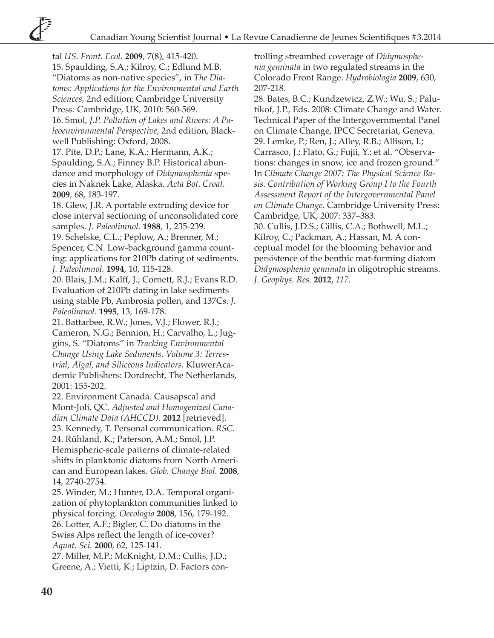tal *US. Front. Ecol.* **2009**, 7(8), 415-420. 15. Spaulding, S.A.; Kilroy, C.; Edlund M.B. "Diatoms as non-native species", in *The Diatoms: Applications for the Environmental and Earth Sciences*, 2nd edition; Cambridge University Press: Cambridge, UK, 2010: 560-569. 16. Smol, *J.P. Pollution of Lakes and Rivers: A Paleoenvironmental Perspective*, 2nd edition, Blackwell Publishing: Oxford, 2008. 17. Pite, D.P.; Lane, K.A.; Hermann, A.K.; Spaulding, S.A.; Finney B.P. Historical abundance and morphology of *Didymosphenia* species in Naknek Lake, Alaska. *Acta Bot. Croat.* **2009**, 68, 183-197. 18. Glew, J.R. A portable extruding device for close interval sectioning of unconsolidated core samples. *J. Paleolimnol.* **1988**, 1, 235-239. 19. Schelske, C.L.; Peplow, A.; Brenner, M.; Spencer, C.N. Low-background gamma counting: applications for 210Pb dating of sediments. *J. Paleolimnol.* **1994**, 10, 115-128. 20. Blais, J.M.; Kalff, J.; Cornett, R.J.; Evans R.D. Evaluation of 210Pb dating in lake sediments using stable Pb, Ambrosia pollen, and 137Cs. *J. Paleolimnol.* **1995**, 13, 169-178. 21. Battarbee, R.W.; Jones, V.J.; Flower, R.J.; Cameron, N.G.; Bennion, H.; Carvalho, L.; Juggins, S. "Diatoms" in *Tracking Environmental Change Using Lake Sediments. Volume 3: Terrestrial, Algal, and Siliceous Indicators.* KluwerAcademic Publishers: Dordrecht, The Netherlands, 2001: 155-202. 22. Environment Canada. Causapscal and Mont-Joli, QC. *Adjusted and Homogenized Canadian Climate Data (AHCCD).* **2012** [retrieved]. 23. Kennedy, T. Personal communication. *RSC.*  24. Rühland, K.; Paterson, A.M.; Smol, J.P. Hemispheric-scale patterns of climate-related shifts in planktonic diatoms from North American and European lakes. *Glob. Change Biol.* **2008**, 14, 2740-2754. 25. Winder, M.; Hunter, D.A. Temporal organization of phytoplankton communities linked to physical forcing. *Oecologia* **2008**, 156, 179-192. 26. Lotter, A.F.; Bigler, C. Do diatoms in the

Swiss Alps reflect the length of ice-cover? *Aquat. Sci.* **2000**, 62, 125-141.

27. Miller, M.P.; McKnight, D.M.; Cullis, J.D.; Greene, A.; Vietti, K.; Liptzin, D. Factors controlling streambed coverage of *Didymosphenia geminata* in two regulated streams in the Colorado Front Range. *Hydrobiologia* **2009**, 630, 207-218.

28. Bates, B.C.; Kundzewicz, Z.W.; Wu, S.; Palutikof, J.P., Eds. 2008: Climate Change and Water. Technical Paper of the Intergovernmental Panel on Climate Change, IPCC Secretariat, Geneva. 29. Lemke, P.; Ren, J.; Alley, R.B.; Allison, I.; Carrasco, J.; Flato, G.; Fujii, Y.; et al. "Observations: changes in snow, ice and frozen ground." In *Climate Change 2007: The Physical Science Basis. Contribution of Working Group I to the Fourth Assessment Report of the Intergovernmental Panel on Climate Change.* Cambridge University Press: Cambridge, UK, 2007: 337–383.

30. Cullis, J.D.S.; Gillis, C.A.; Bothwell, M.L.; Kilroy, C.; Packman, A.; Hassan, M. A conceptual model for the blooming behavior and persistence of the benthic mat-forming diatom *Didymosphenia geminata* in oligotrophic streams. *J. Geophys. Res.* **2012**, *117.*